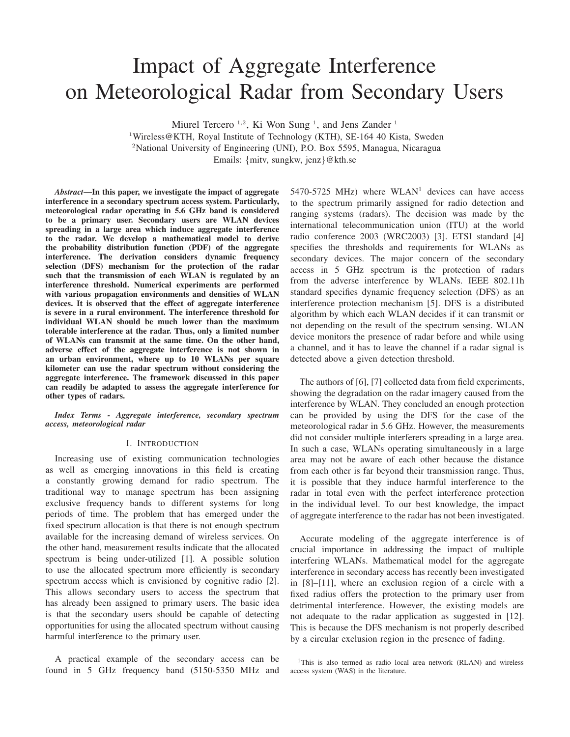# Impact of Aggregate Interference on Meteorological Radar from Secondary Users

Miurel Tercero<sup>1,2</sup>, Ki Won Sung<sup>1</sup>, and Jens Zander<sup>1</sup>

<sup>1</sup>Wireless@KTH, Royal Institute of Technology (KTH), SE-164 40 Kista, Sweden <sup>2</sup>National University of Engineering (UNI), P.O. Box 5595, Managua, Nicaragua

Emails: {mitv, sungkw, jenz}@kth.se

*Abstract***—In this paper, we investigate the impact of aggregate interference in a secondary spectrum access system. Particularly, meteorological radar operating in 5.6 GHz band is considered to be a primary user. Secondary users are WLAN devices spreading in a large area which induce aggregate interference to the radar. We develop a mathematical model to derive the probability distribution function (PDF) of the aggregate interference. The derivation considers dynamic frequency selection (DFS) mechanism for the protection of the radar such that the transmission of each WLAN is regulated by an interference threshold. Numerical experiments are performed with various propagation environments and densities of WLAN devices. It is observed that the effect of aggregate interference is severe in a rural environment. The interference threshold for individual WLAN should be much lower than the maximum tolerable interference at the radar. Thus, only a limited number of WLANs can transmit at the same time. On the other hand, adverse effect of the aggregate interference is not shown in an urban environment, where up to 10 WLANs per square kilometer can use the radar spectrum without considering the aggregate interference. The framework discussed in this paper can readily be adapted to assess the aggregate interference for other types of radars.**

*Index Terms - Aggregate interference, secondary spectrum access, meteorological radar*

## I. INTRODUCTION

Increasing use of existing communication technologies as well as emerging innovations in this field is creating a constantly growing demand for radio spectrum. The traditional way to manage spectrum has been assigning exclusive frequency bands to different systems for long periods of time. The problem that has emerged under the fixed spectrum allocation is that there is not enough spectrum available for the increasing demand of wireless services. On the other hand, measurement results indicate that the allocated spectrum is being under-utilized [1]. A possible solution to use the allocated spectrum more efficiently is secondary spectrum access which is envisioned by cognitive radio [2]. This allows secondary users to access the spectrum that has already been assigned to primary users. The basic idea is that the secondary users should be capable of detecting opportunities for using the allocated spectrum without causing harmful interference to the primary user.

A practical example of the secondary access can be found in 5 GHz frequency band (5150-5350 MHz and 5470-5725 MHz) where  $WLAN<sup>1</sup>$  devices can have access to the spectrum primarily assigned for radio detection and ranging systems (radars). The decision was made by the international telecommunication union (ITU) at the world radio conference 2003 (WRC2003) [3]. ETSI standard [4] specifies the thresholds and requirements for WLANs as secondary devices. The major concern of the secondary access in 5 GHz spectrum is the protection of radars from the adverse interference by WLANs. IEEE 802.11h standard specifies dynamic frequency selection (DFS) as an interference protection mechanism [5]. DFS is a distributed algorithm by which each WLAN decides if it can transmit or not depending on the result of the spectrum sensing. WLAN device monitors the presence of radar before and while using a channel, and it has to leave the channel if a radar signal is detected above a given detection threshold.

The authors of [6], [7] collected data from field experiments, showing the degradation on the radar imagery caused from the interference by WLAN. They concluded an enough protection can be provided by using the DFS for the case of the meteorological radar in 5.6 GHz. However, the measurements did not consider multiple interferers spreading in a large area. In such a case, WLANs operating simultaneously in a large area may not be aware of each other because the distance from each other is far beyond their transmission range. Thus, it is possible that they induce harmful interference to the radar in total even with the perfect interference protection in the individual level. To our best knowledge, the impact of aggregate interference to the radar has not been investigated.

Accurate modeling of the aggregate interference is of crucial importance in addressing the impact of multiple interfering WLANs. Mathematical model for the aggregate interference in secondary access has recently been investigated in [8]–[11], where an exclusion region of a circle with a fixed radius offers the protection to the primary user from detrimental interference. However, the existing models are not adequate to the radar application as suggested in [12]. This is because the DFS mechanism is not properly described by a circular exclusion region in the presence of fading.

<sup>1</sup>This is also termed as radio local area network (RLAN) and wireless access system (WAS) in the literature.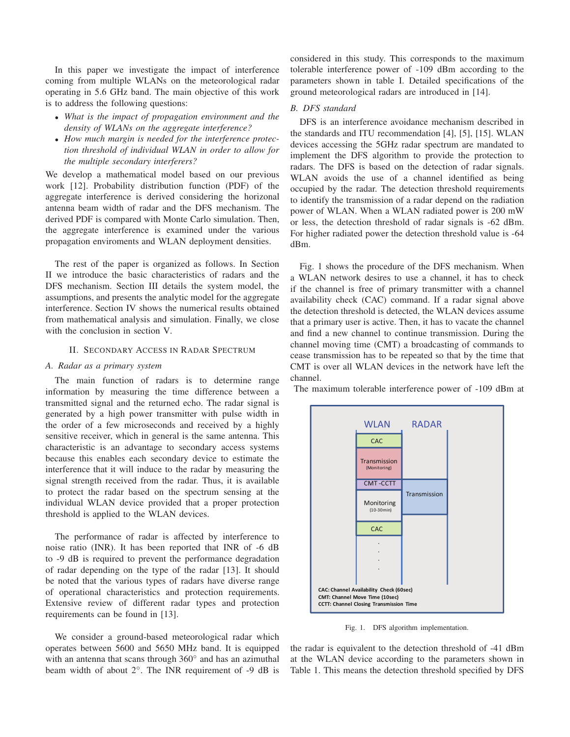In this paper we investigate the impact of interference coming from multiple WLANs on the meteorological radar operating in 5.6 GHz band. The main objective of this work is to address the following questions:

- *What is the impact of propagation environment and the density of WLANs on the aggregate interference?*
- *How much margin is needed for the interference protection threshold of individual WLAN in order to allow for the multiple secondary interferers?*

We develop a mathematical model based on our previous work [12]. Probability distribution function (PDF) of the aggregate interference is derived considering the horizonal antenna beam width of radar and the DFS mechanism. The derived PDF is compared with Monte Carlo simulation. Then, the aggregate interference is examined under the various propagation enviroments and WLAN deployment densities.

The rest of the paper is organized as follows. In Section II we introduce the basic characteristics of radars and the DFS mechanism. Section III details the system model, the assumptions, and presents the analytic model for the aggregate interference. Section IV shows the numerical results obtained from mathematical analysis and simulation. Finally, we close with the conclusion in section V.

## II. SECONDARY ACCESS IN RADAR SPECTRUM

#### *A. Radar as a primary system*

The main function of radars is to determine range information by measuring the time difference between a transmitted signal and the returned echo. The radar signal is generated by a high power transmitter with pulse width in the order of a few microseconds and received by a highly sensitive receiver, which in general is the same antenna. This characteristic is an advantage to secondary access systems because this enables each secondary device to estimate the interference that it will induce to the radar by measuring the signal strength received from the radar. Thus, it is available to protect the radar based on the spectrum sensing at the individual WLAN device provided that a proper protection threshold is applied to the WLAN devices.

The performance of radar is affected by interference to noise ratio (INR). It has been reported that INR of -6 dB to -9 dB is required to prevent the performance degradation of radar depending on the type of the radar [13]. It should be noted that the various types of radars have diverse range of operational characteristics and protection requirements. Extensive review of different radar types and protection requirements can be found in [13].

We consider a ground-based meteorological radar which operates between 5600 and 5650 MHz band. It is equipped with an antenna that scans through 360° and has an azimuthal beam width of about 2◦. The INR requirement of -9 dB is

considered in this study. This corresponds to the maximum tolerable interference power of -109 dBm according to the parameters shown in table I. Detailed specifications of the ground meteorological radars are introduced in [14].

# *B. DFS standard*

DFS is an interference avoidance mechanism described in the standards and ITU recommendation [4], [5], [15]. WLAN devices accessing the 5GHz radar spectrum are mandated to implement the DFS algorithm to provide the protection to radars. The DFS is based on the detection of radar signals. WLAN avoids the use of a channel identified as being occupied by the radar. The detection threshold requirements to identify the transmission of a radar depend on the radiation power of WLAN. When a WLAN radiated power is 200 mW or less, the detection threshold of radar signals is -62 dBm. For higher radiated power the detection threshold value is -64 dBm.

Fig. 1 shows the procedure of the DFS mechanism. When a WLAN network desires to use a channel, it has to check if the channel is free of primary transmitter with a channel availability check (CAC) command. If a radar signal above the detection threshold is detected, the WLAN devices assume that a primary user is active. Then, it has to vacate the channel and find a new channel to continue transmission. During the channel moving time (CMT) a broadcasting of commands to cease transmission has to be repeated so that by the time that CMT is over all WLAN devices in the network have left the channel.

The maximum tolerable interference power of -109 dBm at



Fig. 1. DFS algorithm implementation.

the radar is equivalent to the detection threshold of -41 dBm at the WLAN device according to the parameters shown in Table 1. This means the detection threshold specified by DFS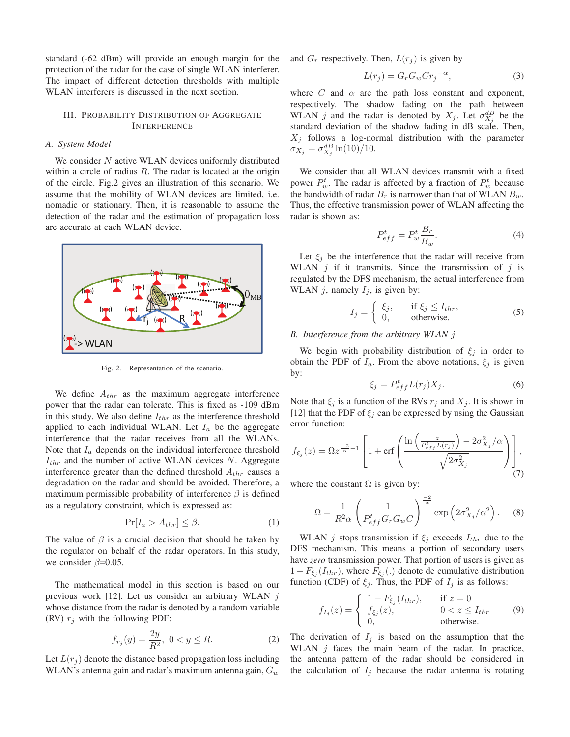standard (-62 dBm) will provide an enough margin for the protection of the radar for the case of single WLAN interferer. The impact of different detection thresholds with multiple WLAN interferers is discussed in the next section.

# III. PROBABILITY DISTRIBUTION OF AGGREGATE INTERFERENCE

#### *A. System Model*

We consider  $N$  active WLAN devices uniformly distributed within a circle of radius  $R$ . The radar is located at the origin of the circle. Fig.2 gives an illustration of this scenario. We assume that the mobility of WLAN devices are limited, i.e. nomadic or stationary. Then, it is reasonable to assume the detection of the radar and the estimation of propagation loss are accurate at each WLAN device.



Fig. 2. Representation of the scenario.

We define  $A_{thr}$  as the maximum aggregate interference power that the radar can tolerate. This is fixed as -109 dBm in this study. We also define  $I_{thr}$  as the interference threshold applied to each individual WLAN. Let  $I_a$  be the aggregate interference that the radar receives from all the WLANs. Note that  $I_a$  depends on the individual interference threshold  $I_{thr}$  and the number of active WLAN devices N. Aggregate interference greater than the defined threshold  $A_{thr}$  causes a degradation on the radar and should be avoided. Therefore, a maximum permissible probability of interference  $\beta$  is defined as a regulatory constraint, which is expressed as:

$$
\Pr[I_a > A_{thr}] \le \beta. \tag{1}
$$

The value of  $\beta$  is a crucial decision that should be taken by the regulator on behalf of the radar operators. In this study, we consider  $\beta$ =0.05.

The mathematical model in this section is based on our previous work [12]. Let us consider an arbitrary WLAN  $j$ whose distance from the radar is denoted by a random variable (RV)  $r_i$  with the following PDF:

$$
f_{r_j}(y) = \frac{2y}{R^2}, \ 0 < y \le R. \tag{2}
$$

Let  $L(r_j)$  denote the distance based propagation loss including WLAN's antenna gain and radar's maximum antenna gain,  $G_w$  and  $G_r$  respectively. Then,  $L(r_i)$  is given by

$$
L(r_j) = G_r G_w C r_j^{-\alpha},\tag{3}
$$

where C and  $\alpha$  are the path loss constant and exponent, respectively. The shadow fading on the path between WLAN j and the radar is denoted by  $X_j$ . Let  $\sigma_{X_j}^{dB}$  be the standard deviation of the shadow fading in dB scale. Then,  $X_j$  follows a log-normal distribution with the parameter  $\sigma_{X_j} = \sigma_{X_j}^{dB} \ln(10)/10.$ 

We consider that all WLAN devices transmit with a fixed power  $P_w^t$ . The radar is affected by a fraction of  $P_w^t$  because the bandwidth of radar  $B_r$  is narrower than that of WLAN  $B_w$ . Thus, the effective transmission power of WLAN affecting the radar is shown as:

$$
P_{eff}^t = P_w^t \frac{B_r}{B_w}.\tag{4}
$$

Let  $\xi_i$  be the interference that the radar will receive from WLAN  $j$  if it transmits. Since the transmission of  $j$  is regulated by the DFS mechanism, the actual interference from WLAN  $j$ , namely  $I_j$ , is given by:

$$
I_j = \begin{cases} \xi_j, & \text{if } \xi_j \le I_{thr}, \\ 0, & \text{otherwise.} \end{cases}
$$
 (5)

# *B. Interference from the arbitrary WLAN* j

We begin with probability distribution of  $\xi_i$  in order to obtain the PDF of  $I_a$ . From the above notations,  $\xi_j$  is given by:

$$
\xi_j = P_{eff}^t L(r_j) X_j. \tag{6}
$$

Note that  $\xi_j$  is a function of the RVs  $r_j$  and  $X_j$ . It is shown in [12] that the PDF of  $\xi_j$  can be expressed by using the Gaussian error function:

$$
f_{\xi_j}(z) = \Omega z^{\frac{-2}{\alpha}-1} \left[ 1 + \text{erf}\left( \frac{\ln\left(\frac{z}{P_{eff}^t L(r_j)}\right) - 2\sigma_{X_j}^2/\alpha}{\sqrt{2\sigma_{X_j}^2}}\right) \right],
$$
(7)

where the constant  $\Omega$  is given by:

$$
\Omega = \frac{1}{R^2 \alpha} \left( \frac{1}{P_{eff}^t G_r G_w C} \right)^{\frac{-2}{\alpha}} \exp \left( 2\sigma_{X_j}^2 / \alpha^2 \right). \tag{8}
$$

WLAN j stops transmission if  $\xi_i$  exceeds  $I_{thr}$  due to the DFS mechanism. This means a portion of secondary users have *zero* transmission power. That portion of users is given as  $1 - F_{\xi_i}(I_{thr})$ , where  $F_{\xi_i}$ .) denote de cumulative distribution function (CDF) of  $\xi_j$ . Thus, the PDF of  $I_j$  is as follows:

$$
f_{I_j}(z) = \begin{cases} 1 - F_{\xi_j}(I_{thr}), & \text{if } z = 0\\ f_{\xi_j}(z), & 0 < z \le I_{thr}\\ 0, & \text{otherwise.} \end{cases}
$$
(9)

The derivation of  $I_j$  is based on the assumption that the WLAN  $j$  faces the main beam of the radar. In practice, the antenna pattern of the radar should be considered in the calculation of  $I_j$  because the radar antenna is rotating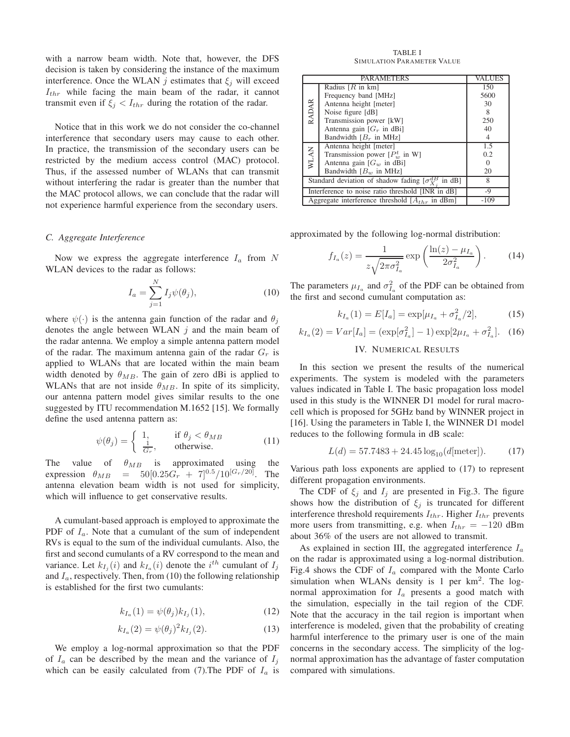with a narrow beam width. Note that, however, the DFS decision is taken by considering the instance of the maximum interference. Once the WLAN  $j$  estimates that  $\xi_j$  will exceed  $I_{thr}$  while facing the main beam of the radar, it cannot transmit even if  $\xi_j < I_{thr}$  during the rotation of the radar.

Notice that in this work we do not consider the co-channel interference that secondary users may cause to each other. In practice, the transmission of the secondary users can be restricted by the medium access control (MAC) protocol. Thus, if the assessed number of WLANs that can transmit without interfering the radar is greater than the number that the MAC protocol allows, we can conclude that the radar will not experience harmful experience from the secondary users.

#### *C. Aggregate Interference*

Now we express the aggregate interference  $I_a$  from N WLAN devices to the radar as follows:

$$
I_a = \sum_{j=1}^{N} I_j \psi(\theta_j), \qquad (10)
$$

where  $\psi(\cdot)$  is the antenna gain function of the radar and  $\theta_i$ denotes the angle between WLAN  $j$  and the main beam of the radar antenna. We employ a simple antenna pattern model of the radar. The maximum antenna gain of the radar  $G_r$  is applied to WLANs that are located within the main beam width denoted by  $\theta_{MB}$ . The gain of zero dBi is applied to WLANs that are not inside  $\theta_{MB}$ . In spite of its simplicity, our antenna pattern model gives similar results to the one suggested by ITU recommendation M.1652 [15]. We formally define the used antenna pattern as:

$$
\psi(\theta_j) = \begin{cases} 1, & \text{if } \theta_j < \theta_{MB} \\ \frac{1}{G_r}, & \text{otherwise.} \end{cases}
$$
 (11)

The value of  $\theta_{MB}$  is approximated using the expression  $\theta_{MB} = 50[0.25G_r + 7]^{0.5}/10^{[G_r/20]}$ . The antenna elevation beam width is not used for simplicity, which will influence to get conservative results.

A cumulant-based approach is employed to approximate the PDF of  $I_a$ . Note that a cumulant of the sum of independent RVs is equal to the sum of the individual cumulants. Also, the first and second cumulants of a RV correspond to the mean and variance. Let  $k_{I_j}(i)$  and  $k_{I_a}(i)$  denote the  $i^{th}$  cumulant of  $I_j$ <br>and I respectively. Then from (10) the following relationship and  $I_a$ , respectively. Then, from (10) the following relationship is established for the first two cumulants:

$$
k_{I_a}(1) = \psi(\theta_j) k_{I_j}(1),
$$
\n(12)

$$
k_{I_a}(2) = \psi(\theta_j)^2 k_{I_j}(2). \tag{13}
$$

We employ a log-normal approximation so that the PDF of  $I_a$  can be described by the mean and the variance of  $I_j$ which can be easily calculated from (7). The PDF of  $I_a$  is

TABLE I SIMULATION PARAMETER VALUE

| <b>PARAMETERS</b>                                                |                                               | VALUES |
|------------------------------------------------------------------|-----------------------------------------------|--------|
| <b>RADAR</b>                                                     | Radius $[R \text{ in } \overline{\text{km}}]$ | 150    |
|                                                                  | Frequency band [MHz]                          | 5600   |
|                                                                  | Antenna height [meter]                        | 30     |
|                                                                  | Noise figure [dB]                             | 8      |
|                                                                  | Transmission power [kW]                       | 250    |
|                                                                  | Antenna gain $[G_r$ in dBi]                   | 40     |
|                                                                  | Bandwidth $[B_r]$ in MHz                      | 4      |
| <b>WLAN</b>                                                      | Antenna height [meter]                        | 1.5    |
|                                                                  | Transmission power $[P_w^t]$ in W]            | 0.2    |
|                                                                  | Antenna gain $[G_w]$ in dBi]                  |        |
|                                                                  | Bandwidth $[B_w]$ in MHz]                     | 20     |
| Standard deviation of shadow fading $[\sigma_{X_i}^{dB}]$ in dB] |                                               | 8      |
| Interference to noise ratio threshold [INR in dB]                |                                               | -9     |
| Aggregate interference threshold $[A_{thr}$ in dBm]              |                                               | -109   |

approximated by the following log-normal distribution:

$$
f_{I_a}(z) = \frac{1}{z\sqrt{2\pi\sigma_{I_a}^2}} \exp\left(\frac{\ln(z) - \mu_{I_a}}{2\sigma_{I_a}^2}\right).
$$
 (14)

The parameters  $\mu_{I_a}$  and  $\sigma_{I_a}^2$  of the PDF can be obtained from the first and second cumulant computation as:

$$
k_{I_a}(1) = E[I_a] = \exp[\mu_{I_a} + \sigma_{I_a}^2/2],\tag{15}
$$

$$
k_{I_a}(2) = Var[I_a] = (\exp[\sigma_{I_a}^2] - 1) \exp[2\mu_{I_a} + \sigma_{I_a}^2].
$$
 (16)

# IV. NUMERICAL RESULTS

In this section we present the results of the numerical experiments. The system is modeled with the parameters values indicated in Table I. The basic propagation loss model used in this study is the WINNER D1 model for rural macrocell which is proposed for 5GHz band by WINNER project in [16]. Using the parameters in Table I, the WINNER D1 model reduces to the following formula in dB scale:

$$
L(d) = 57.7483 + 24.45 \log_{10}(d[\text{meter}]). \tag{17}
$$

Various path loss exponents are applied to (17) to represent different propagation environments.

The CDF of  $\xi_j$  and  $I_j$  are presented in Fig.3. The figure shows how the distribution of  $\xi_j$  is truncated for different interference threshold requirements  $I_{thr}$ . Higher  $I_{thr}$  prevents more users from transmitting, e.g. when  $I_{thr} = -120$  dBm about 36% of the users are not allowed to transmit.

As explained in section III, the aggregated interference  $I_a$ on the radar is approximated using a log-normal distribution. Fig.4 shows the CDF of  $I_a$  compared with the Monte Carlo simulation when WLANs density is 1 per  $km<sup>2</sup>$ . The lognormal approximation for  $I_a$  presents a good match with the simulation, especially in the tail region of the CDF. Note that the accuracy in the tail region is important when interference is modeled, given that the probability of creating harmful interference to the primary user is one of the main concerns in the secondary access. The simplicity of the lognormal approximation has the advantage of faster computation compared with simulations.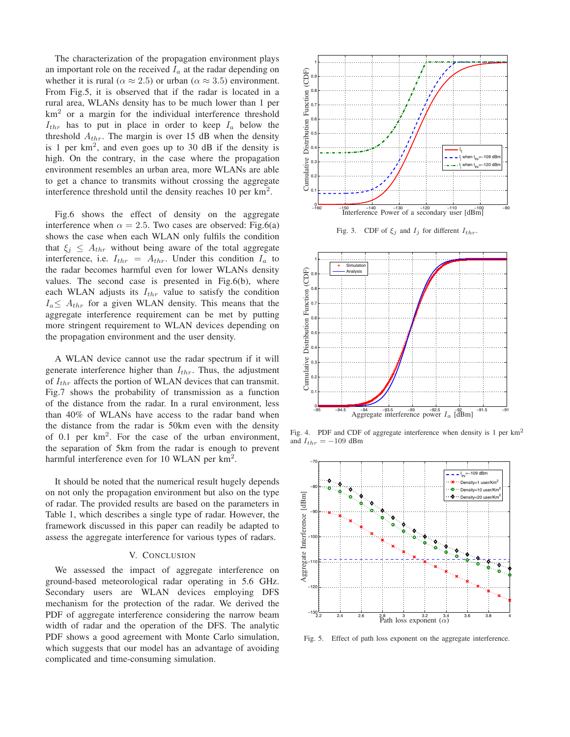The characterization of the propagation environment plays an important role on the received  $I_a$  at the radar depending on whether it is rural ( $\alpha \approx 2.5$ ) or urban ( $\alpha \approx 3.5$ ) environment. From Fig.5, it is observed that if the radar is located in a rural area, WLANs density has to be much lower than 1 per  $km<sup>2</sup>$  or a margin for the individual interference threshold  $I_{thr}$  has to put in place in order to keep  $I_a$  below the threshold  $A_{thr}$ . The margin is over 15 dB when the density is 1 per km2, and even goes up to 30 dB if the density is high. On the contrary, in the case where the propagation environment resembles an urban area, more WLANs are able to get a chance to transmits without crossing the aggregate interference threshold until the density reaches 10 per  $km<sup>2</sup>$ .

Fig.6 shows the effect of density on the aggregate interference when  $\alpha = 2.5$ . Two cases are observed: Fig.6(a) shows the case when each WLAN only fulfils the condition that  $\xi_i \leq A_{thr}$  without being aware of the total aggregate interference, i.e.  $I_{thr} = A_{thr}$ . Under this condition  $I_a$  to the radar becomes harmful even for lower WLANs density values. The second case is presented in Fig.6(b), where each WLAN adjusts its  $I_{thr}$  value to satisfy the condition  $I_a \leq A_{thr}$  for a given WLAN density. This means that the aggregate interference requirement can be met by putting more stringent requirement to WLAN devices depending on the propagation environment and the user density.

A WLAN device cannot use the radar spectrum if it will generate interference higher than  $I_{thr}$ . Thus, the adjustment of  $I_{thr}$  affects the portion of WLAN devices that can transmit. Fig.7 shows the probability of transmission as a function of the distance from the radar. In a rural environment, less than 40% of WLANs have access to the radar band when the distance from the radar is 50km even with the density of 0.1 per  $km^2$ . For the case of the urban environment, the separation of 5km from the radar is enough to prevent harmful interference even for 10 WLAN per km<sup>2</sup>.

It should be noted that the numerical result hugely depends on not only the propagation environment but also on the type of radar. The provided results are based on the parameters in Table 1, which describes a single type of radar. However, the framework discussed in this paper can readily be adapted to assess the aggregate interference for various types of radars.

## V. CONCLUSION

We assessed the impact of aggregate interference on ground-based meteorological radar operating in 5.6 GHz. Secondary users are WLAN devices employing DFS mechanism for the protection of the radar. We derived the PDF of aggregate interference considering the narrow beam width of radar and the operation of the DFS. The analytic PDF shows a good agreement with Monte Carlo simulation, which suggests that our model has an advantage of avoiding complicated and time-consuming simulation.





Fig. 4. PDF and CDF of aggregate interference when density is 1 per  $km^2$ and  $I_{thr} = -109$  dBm



Fig. 5. Effect of path loss exponent on the aggregate interference.